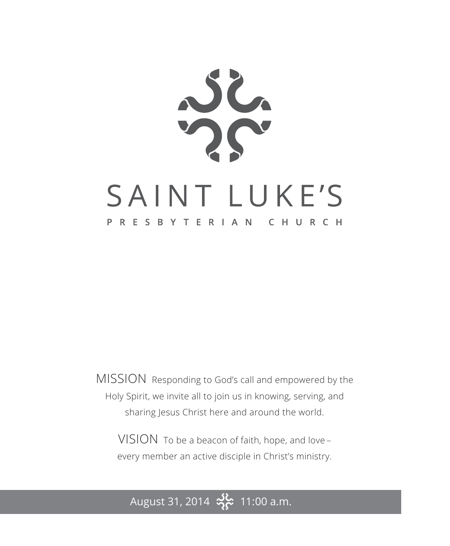

MISSION Responding to God's call and empowered by the Holy Spirit, we invite all to join us in knowing, serving, and sharing Jesus Christ here and around the world.

VISION To be a beacon of faith, hope, and love – every member an active disciple in Christ's ministry.

August 31, 2014  $3\frac{3}{1}$  11:00 a.m.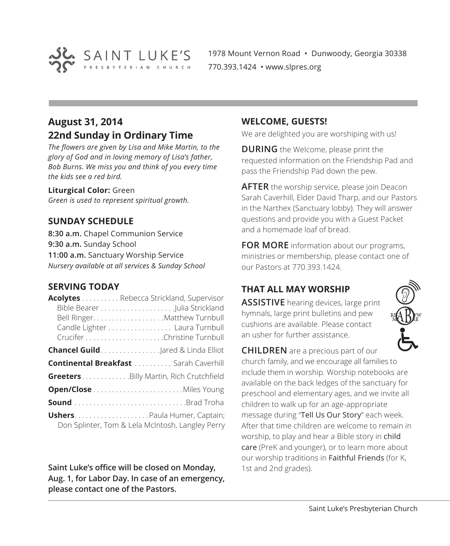

1978 Mount Vernon Road • Dunwoody, Georgia 30338 770.393.1424 • www.slpres.org

#### **August 31, 2014 22nd Sunday in Ordinary Time**

*The flowers are given by Lisa and Mike Martin, to the glory of God and in loving memory of Lisa's father, Bob Burns. We miss you and think of you every time the kids see a red bird.*

#### **Liturgical Color:** Green

*Green is used to represent spiritual growth.* 

#### **SUNDAY SCHEDULE**

**8:30 a.m.** Chapel Communion Service **9:30 a.m.** Sunday School **11:00 a.m.** Sanctuary Worship Service *Nursery available at all services & Sunday School*

#### **SERVING TODAY**

| Acolytes Rebecca Strickland, Supervisor          |
|--------------------------------------------------|
|                                                  |
| Bell Ringer. Matthew Turnbull                    |
| Candle Lighter Laura Turnbull                    |
|                                                  |
| <b>Chancel Guild</b> Jared & Linda Elliot        |
| <b>Continental Breakfast </b> Sarah Caverhill    |
| Greeters Billy Martin, Rich Crutchfield          |
|                                                  |
| <b>Sound</b> Brad Troha                          |
| Don Splinter, Tom & Lela McIntosh, Langley Perry |

**Saint Luke's office will be closed on Monday, Aug. 1, for Labor Day. In case of an emergency, please contact one of the Pastors.**

#### **WELCOME, GUESTS!**

We are delighted you are worshiping with us!

**DURING** the Welcome, please print the requested information on the Friendship Pad and pass the Friendship Pad down the pew.

**AFTER** the worship service, please join Deacon Sarah Caverhill, Elder David Tharp, and our Pastors in the Narthex (Sanctuary lobby). They will answer questions and provide you with a Guest Packet and a homemade loaf of bread.

**FOR MORE** information about our programs, ministries or membership, please contact one of our Pastors at 770.393.1424.

### **THAT ALL MAY WORSHIP**

**ASSISTIVE** hearing devices, large print hymnals, large print bulletins and pew cushions are available. Please contact an usher for further assistance.



**CHILDREN** are a precious part of our church family, and we encourage all families to include them in worship. Worship notebooks are available on the back ledges of the sanctuary for preschool and elementary ages, and we invite all children to walk up for an age-appropriate message during "Tell Us Our Story" each week. After that time children are welcome to remain in worship, to play and hear a Bible story in child care (PreK and younger), or to learn more about our worship traditions in Faithful Friends (for K, 1st and 2nd grades).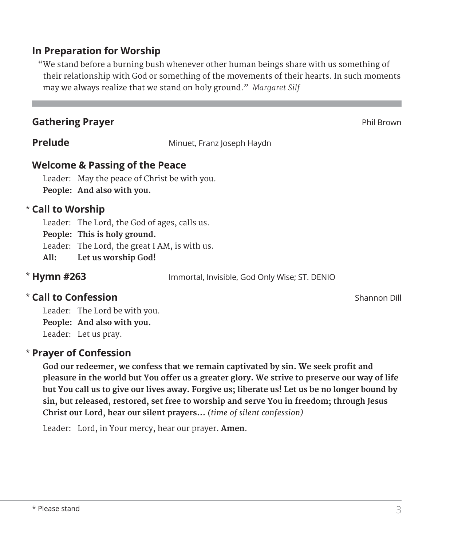#### **In Preparation for Worship**

 "We stand before a burning bush whenever other human beings share with us something of their relationship with God or something of the movements of their hearts. In such moments may we always realize that we stand on holy ground." *Margaret Silf* 

#### **Gathering Prayer Phil Brown Control of the Cathering Phil Brown Phil Brown Phil Brown Phil Brown Phil Brown Phil Brown Phil Brown Phil Brown Phil Brown Phil Brown Phil Brown Phil Brown Phil Brown Phil Brown Phil Brown P**

**Prelude** Minuet, Franz Joseph Haydn

#### **Welcome & Passing of the Peace**

Leader: May the peace of Christ be with you. **People: And also with you.**

#### **Call to Worship**  \*

Leader: The Lord, the God of ages, calls us. **People: This is holy ground.** Leader: The Lord, the great I AM, is with us. **All: Let us worship God!**

\* Hymn #263

**Hymn #263** Immortal, Invisible, God Only Wise; ST. DENIO

#### **Call to Confession Shannon Dill Confession**

Leader: The Lord be with you. **People: And also with you.** Leader: Let us pray.

#### **Prayer of Confession**  \*

**God our redeemer, we confess that we remain captivated by sin. We seek profit and** pleasure in the world but You offer us a greater glory. We strive to preserve our way of life **but You call us to give our lives away. Forgive us; liberate us! Let us be no longer bound by sin, but released, restored, set free to worship and serve You in freedom; through Jesus Christ our Lord, hear our silent prayers...** *(time of silent confession)*

Leader: Lord, in Your mercy, hear our prayer. **Amen**.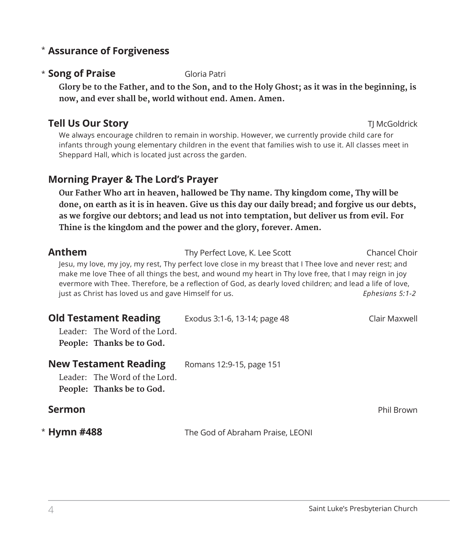#### **Assurance of Forgiveness** \*

#### **Example 3 Song of Praise** Gloria Patri

 **Glory be to the Father, and to the Son, and to the Holy Ghost; as it was in the beginning, is now, and ever shall be, world without end. Amen. Amen.**

#### **Tell Us Our Story** The Contract of the Contract of the Contract of The Contract of The Contract of The Contract of The Contract of The Contract of The Contract of The Contract of The Contract of The Contract of The Contra

 We always encourage children to remain in worship. However, we currently provide child care for infants through young elementary children in the event that families wish to use it. All classes meet in Sheppard Hall, which is located just across the garden.

#### **Morning Prayer & The Lord's Prayer**

 **Our Father Who art in heaven, hallowed be Thy name. Thy kingdom come, Thy will be done, on earth as it is in heaven. Give us this day our daily bread; and forgive us our debts, as we forgive our debtors; and lead us not into temptation, but deliver us from evil. For Thine is the kingdom and the power and the glory, forever. Amen.**

#### **Anthem** Thy Perfect Love, K. Lee Scott Chancel Choir Jesu, my love, my joy, my rest, Thy perfect love close in my breast that I Thee love and never rest; and make me love Thee of all things the best, and wound my heart in Thy love free, that I may reign in joy evermore with Thee. Therefore, be a reflection of God, as dearly loved children; and lead a life of love, just as Christ has loved us and gave Himself for us. *Ephesians 5:1-2*

| <b>Old Testament Reading</b>  | Exodus 3:1-6, 13-14; page 48     | Clair Maxwell |
|-------------------------------|----------------------------------|---------------|
| Leader: The Word of the Lord. |                                  |               |
| People: Thanks be to God.     |                                  |               |
| <b>New Testament Reading</b>  | Romans 12:9-15, page 151         |               |
| Leader: The Word of the Lord. |                                  |               |
| People: Thanks be to God.     |                                  |               |
| <b>Sermon</b>                 |                                  | Phil Brown    |
| <b>Hymn #488</b>              | The God of Abraham Praise, LEONI |               |

\*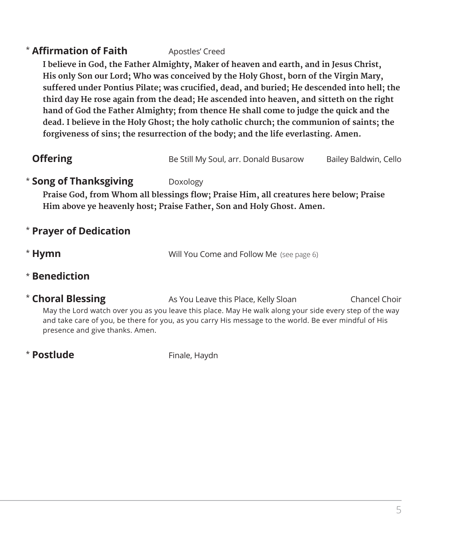#### \* **Affirmation of Faith** Apostles' Creed

 **I believe in God, the Father Almighty, Maker of heaven and earth, and in Jesus Christ, His only Son our Lord; Who was conceived by the Holy Ghost, born of the Virgin Mary, suffered under Pontius Pilate; was crucified, dead, and buried; He descended into hell; the third day He rose again from the dead; He ascended into heaven, and sitteth on the right hand of God the Father Almighty; from thence He shall come to judge the quick and the dead. I believe in the Holy Ghost; the holy catholic church; the communion of saints; the forgiveness of sins; the resurrection of the body; and the life everlasting. Amen.**

#### **\* Song of Thanksgiving** Doxology

**Praise God, from Whom all blessings flow; Praise Him, all creatures here below; Praise Him above ye heavenly host; Praise Father, Son and Holy Ghost. Amen.**

#### \* **Prayer of Dedication**

\* Hymn

**Will You Come and Follow Me** (see page 6)

- \* **Benediction**
- \* Choral Blessing As You Leave this Place, Kelly Sloan **Chancel Choir**  May the Lord watch over you as you leave this place. May He walk along your side every step of the way and take care of you, be there for you, as you carry His message to the world. Be ever mindful of His presence and give thanks. Amen.
- \* Postlude

**Postlude** Finale, Haydn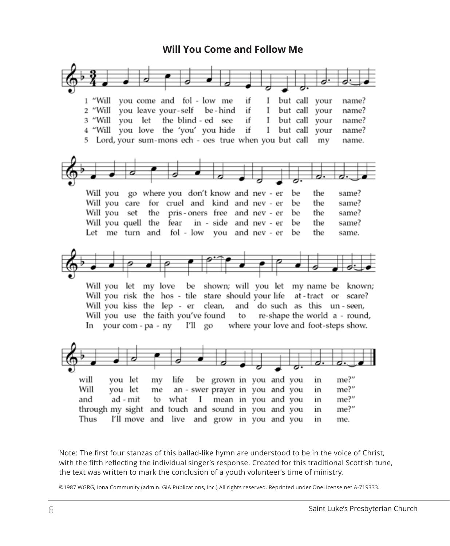#### **Will You Come and Follow Me**



Note: The first four stanzas of this ballad-like hymn are understood to be in the voice of Christ, with the fifth reflecting the individual singer's response. Created for this traditional Scottish tune, the text was written to mark the conclusion of a youth volunteer's time of ministry.

©1987 WGRG, Iona Community (admin. GIA Publications, Inc.) All rights reserved. Reprinted under OneLicense.net A-719333.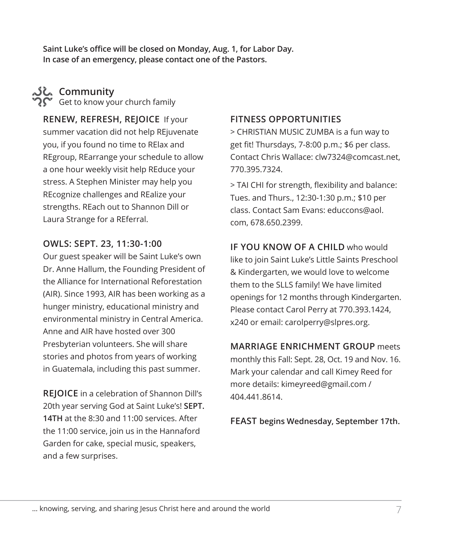**Saint Luke's office will be closed on Monday, Aug. 1, for Labor Day. In case of an emergency, please contact one of the Pastors.**

## Community **پ**

 $\mathbf{Q}^{\sim}$  Get to know your church family

**RENEW, REFRESH, REJOICE** If your summer vacation did not help REjuvenate you, if you found no time to RElax and REgroup, REarrange your schedule to allow a one hour weekly visit help REduce your stress. A Stephen Minister may help you REcognize challenges and REalize your strengths. REach out to Shannon Dill or Laura Strange for a REferral.

#### **OWLS: SEPT. 23, 11:30-1:00**

Our guest speaker will be Saint Luke's own Dr. Anne Hallum, the Founding President of the Alliance for International Reforestation (AIR). Since 1993, AIR has been working as a hunger ministry, educational ministry and environmental ministry in Central America. Anne and AIR have hosted over 300 Presbyterian volunteers. She will share stories and photos from years of working in Guatemala, including this past summer.

**REJOICE** in a celebration of Shannon Dill's 20th year serving God at Saint Luke's! **SEPT. 14TH** at the 8:30 and 11:00 services. After the 11:00 service, join us in the Hannaford Garden for cake, special music, speakers, and a few surprises.

#### **FITNESS OPPORTUNITIES**

> CHRISTIAN MUSIC ZUMBA is a fun way to get fit! Thursdays, 7-8:00 p.m.; \$6 per class. Contact Chris Wallace: clw7324@comcast.net, 770.395.7324.

> TAI CHI for strength, flexibility and balance: Tues. and Thurs., 12:30-1:30 p.m.; \$10 per class. Contact Sam Evans: educcons@aol. com, 678.650.2399.

**IF YOU KNOW OF A CHILD** who would like to join Saint Luke's Little Saints Preschool & Kindergarten, we would love to welcome them to the SLLS family! We have limited openings for 12 months through Kindergarten. Please contact Carol Perry at 770.393.1424, x240 or email: carolperry@slpres.org.

#### **MARRIAGE ENRICHMENT GROUP** meets

monthly this Fall: Sept. 28, Oct. 19 and Nov. 16. Mark your calendar and call Kimey Reed for more details: kimeyreed@gmail.com / 404.441.8614.

**FEAST begins Wednesday, September 17th.**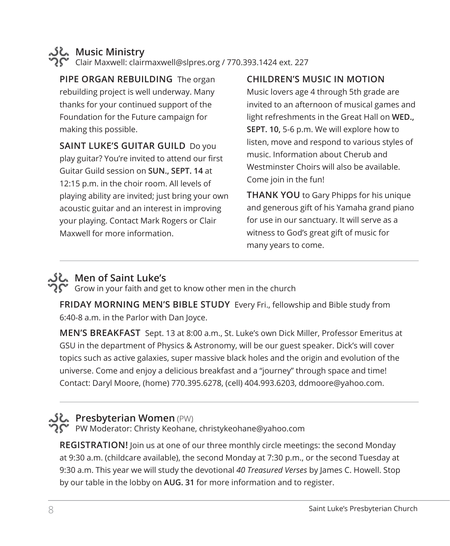#### **Music Ministry** Clair Maxwell: clairmaxwell@slpres.org / 770.393.1424 ext. 227

**PIPE ORGAN REBUILDING** The organ rebuilding project is well underway. Many thanks for your continued support of the Foundation for the Future campaign for making this possible.

**SAINT LUKE'S GUITAR GUILD** Do you play guitar? You're invited to attend our first Guitar Guild session on **SUN., SEPT. 14** at 12:15 p.m. in the choir room. All levels of playing ability are invited; just bring your own acoustic guitar and an interest in improving your playing. Contact Mark Rogers or Clair Maxwell for more information.

#### **CHILDREN'S MUSIC IN MOTION**

Music lovers age 4 through 5th grade are invited to an afternoon of musical games and light refreshments in the Great Hall on **WED., SEPT. 10,** 5-6 p.m. We will explore how to listen, move and respond to various styles of music. Information about Cherub and Westminster Choirs will also be available. Come join in the fun!

**THANK YOU** to Gary Phipps for his unique and generous gift of his Yamaha grand piano for use in our sanctuary. It will serve as a witness to God's great gift of music for many years to come.

# **Men of Saint Luke's**

 $\mathcal{D}$  Grow in your faith and get to know other men in the church

**FRIDAY MORNING MEN'S BIBLE STUDY** Every Fri., fellowship and Bible study from 6:40-8 a.m. in the Parlor with Dan Joyce.

**MEN'S BREAKFAST** Sept. 13 at 8:00 a.m., St. Luke's own Dick Miller, Professor Emeritus at GSU in the department of Physics & Astronomy, will be our guest speaker. Dick's will cover topics such as active galaxies, super massive black holes and the origin and evolution of the universe. Come and enjoy a delicious breakfast and a "journey" through space and time! Contact: Daryl Moore, (home) 770.395.6278, (cell) 404.993.6203, ddmoore@yahoo.com.

### **Presbyterian Women** (PW)

PW Moderator: Christy Keohane, christykeohane@yahoo.com

**REGISTRATION!** Join us at one of our three monthly circle meetings: the second Monday at 9:30 a.m. (childcare available), the second Monday at 7:30 p.m., or the second Tuesday at 9:30 a.m. This year we will study the devotional *40 Treasured Verses* by James C. Howell. Stop by our table in the lobby on **AUG. 31** for more information and to register.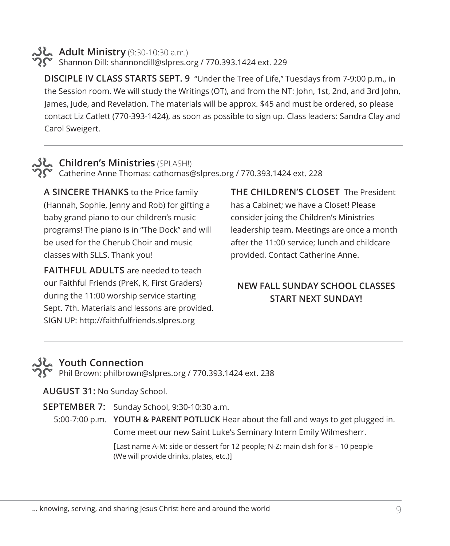#### **Adult Ministry** (9:30-10:30 a.m.)

Shannon Dill: shannondill@slpres.org / 770.393.1424 ext. 229

**DISCIPLE IV CLASS STARTS SEPT. 9** "Under the Tree of Life," Tuesdays from 7-9:00 p.m., in the Session room. We will study the Writings (OT), and from the NT: John, 1st, 2nd, and 3rd John, James, Jude, and Revelation. The materials will be approx. \$45 and must be ordered, so please contact Liz Catlett (770-393-1424), as soon as possible to sign up. Class leaders: Sandra Clay and Carol Sweigert.

#### **Children's Ministries** (SPLASH!)  $\widetilde{C}$  Catherine Anne Thomas: cathomas@slpres.org / 770.393.1424 ext. 228

**A SINCERE THANKS** to the Price family (Hannah, Sophie, Jenny and Rob) for gifting a baby grand piano to our children's music programs! The piano is in "The Dock" and will be used for the Cherub Choir and music classes with SLLS. Thank you!

**FAITHFUL ADULTS** are needed to teach our Faithful Friends (PreK, K, First Graders) during the 11:00 worship service starting Sept. 7th. Materials and lessons are provided. SIGN UP: http://faithfulfriends.slpres.org

**THE CHILDREN'S CLOSET** The President has a Cabinet; we have a Closet! Please consider joing the Children's Ministries leadership team. Meetings are once a month after the 11:00 service; lunch and childcare provided. Contact Catherine Anne.

#### **NEW FALL SUNDAY SCHOOL CLASSES START NEXT SUNDAY!**

#### **Youth Connection**

**PM** Phil Brown: philbrown@slpres.org / 770.393.1424 ext. 238

**AUGUST 31:** No Sunday School.

**SEPTEMBER 7:** Sunday School, 9:30-10:30 a.m.

5:00-7:00 p.m. **YOUTH & PARENT POTLUCK** Hear about the fall and ways to get plugged in. Come meet our new Saint Luke's Seminary Intern Emily Wilmesherr.

> [Last name A-M: side or dessert for 12 people; N-Z: main dish for 8 – 10 people (We will provide drinks, plates, etc.)]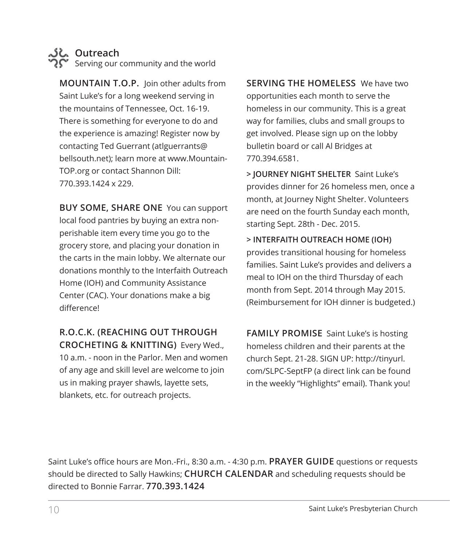## **Outreach** Serving our community and the world

**MOUNTAIN T.O.P.** Join other adults from Saint Luke's for a long weekend serving in the mountains of Tennessee, Oct. 16-19. There is something for everyone to do and the experience is amazing! Register now by contacting Ted Guerrant (atlguerrants@ bellsouth.net); learn more at www.Mountain-TOP.org or contact Shannon Dill: 770.393.1424 x 229.

**BUY SOME, SHARE ONE** You can support local food pantries by buying an extra nonperishable item every time you go to the grocery store, and placing your donation in the carts in the main lobby. We alternate our donations monthly to the Interfaith Outreach Home (IOH) and Community Assistance Center (CAC). Your donations make a big difference!

**R.O.C.K. (REACHING OUT THROUGH CROCHETING & KNITTING)** Every Wed., 10 a.m. - noon in the Parlor. Men and women of any age and skill level are welcome to join us in making prayer shawls, layette sets, blankets, etc. for outreach projects.

**SERVING THE HOMELESS** We have two opportunities each month to serve the homeless in our community. This is a great way for families, clubs and small groups to get involved. Please sign up on the lobby bulletin board or call Al Bridges at 770.394.6581.

**> JOURNEY NIGHT SHELTER** Saint Luke's provides dinner for 26 homeless men, once a month, at Journey Night Shelter. Volunteers are need on the fourth Sunday each month, starting Sept. 28th - Dec. 2015.

**> INTERFAITH OUTREACH HOME (IOH)**  provides transitional housing for homeless families. Saint Luke's provides and delivers a meal to IOH on the third Thursday of each month from Sept. 2014 through May 2015. (Reimbursement for IOH dinner is budgeted.)

**FAMILY PROMISE** Saint Luke's is hosting homeless children and their parents at the church Sept. 21-28. SIGN UP: http://tinyurl. com/SLPC-SeptFP (a direct link can be found in the weekly "Highlights" email). Thank you!

Saint Luke's office hours are Mon.-Fri., 8:30 a.m. - 4:30 p.m. **PRAYER GUIDE** questions or requests should be directed to Sally Hawkins; **CHURCH CALENDAR** and scheduling requests should be directed to Bonnie Farrar. **770.393.1424**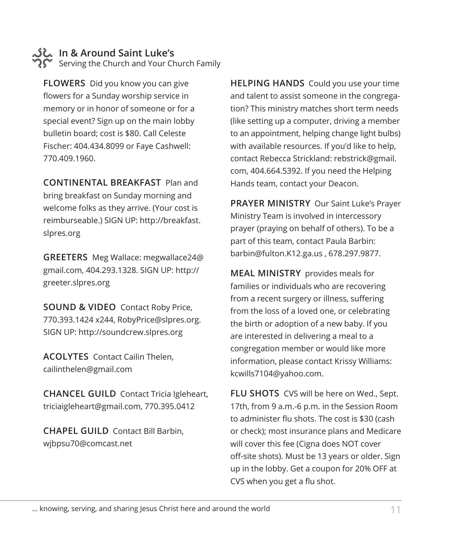#### **In & Around Saint Luke's** Serving the Church and Your Church Family

**FLOWERS** Did you know you can give flowers for a Sunday worship service in memory or in honor of someone or for a special event? Sign up on the main lobby bulletin board; cost is \$80. Call Celeste Fischer: 404.434.8099 or Faye Cashwell: 770.409.1960.

**CONTINENTAL BREAKFAST** Plan and bring breakfast on Sunday morning and welcome folks as they arrive. (Your cost is reimburseable.) SIGN UP: http://breakfast. slpres.org

**GREETERS** Meg Wallace: megwallace24@ gmail.com, 404.293.1328. SIGN UP: http:// greeter.slpres.org

**SOUND & VIDEO** Contact Roby Price, 770.393.1424 x244, RobyPrice@slpres.org. SIGN UP: http://soundcrew.slpres.org

**ACOLYTES** Contact Cailin Thelen, cailinthelen@gmail.com

**CHANCEL GUILD** Contact Tricia Igleheart, triciaigleheart@gmail.com, 770.395.0412

**CHAPEL GUILD** Contact Bill Barbin, wjbpsu70@comcast.net

**HELPING HANDS** Could you use your time and talent to assist someone in the congregation? This ministry matches short term needs (like setting up a computer, driving a member to an appointment, helping change light bulbs) with available resources. If you'd like to help, contact Rebecca Strickland: rebstrick@gmail. com, 404.664.5392. If you need the Helping Hands team, contact your Deacon.

**PRAYER MINISTRY** Our Saint Luke's Prayer Ministry Team is involved in intercessory prayer (praying on behalf of others). To be a part of this team, contact Paula Barbin: barbin@fulton.K12.ga.us , 678.297.9877.

**MEAL MINISTRY** provides meals for families or individuals who are recovering from a recent surgery or illness, suffering from the loss of a loved one, or celebrating the birth or adoption of a new baby. If you are interested in delivering a meal to a congregation member or would like more information, please contact Krissy Williams: kcwills7104@yahoo.com.

**FLU SHOTS** CVS will be here on Wed., Sept. 17th, from 9 a.m.-6 p.m. in the Session Room to administer flu shots. The cost is \$30 (cash or check); most insurance plans and Medicare will cover this fee (Cigna does NOT cover off-site shots). Must be 13 years or older. Sign up in the lobby. Get a coupon for 20% OFF at CVS when you get a flu shot.